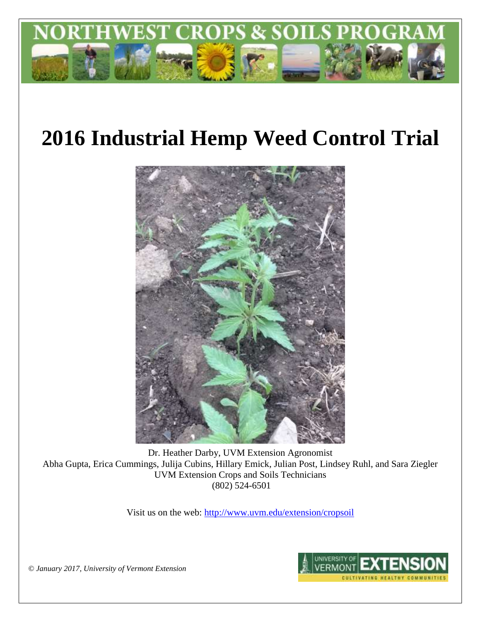

# **2016 Industrial Hemp Weed Control Trial**



Dr. Heather Darby, UVM Extension Agronomist Abha Gupta, Erica Cummings, Julija Cubins, Hillary Emick, Julian Post, Lindsey Ruhl, and Sara Ziegler UVM Extension Crops and Soils Technicians (802) 524-6501

Visit us on the web:<http://www.uvm.edu/extension/cropsoil>



*© January 2017, University of Vermont Extension*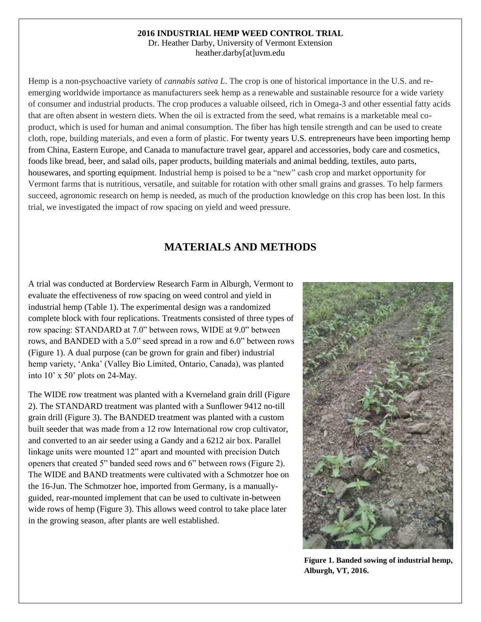#### **2016 INDUSTRIAL HEMP WEED CONTROL TRIAL**

Dr. Heather Darby, University of Vermont Extension heather.darby[at]uvm.edu

Hemp is a non-psychoactive variety of *cannabis sativa L*. The crop is one of historical importance in the U.S. and reemerging worldwide importance as manufacturers seek hemp as a renewable and sustainable resource for a wide variety of consumer and industrial products. The crop produces a valuable oilseed, rich in Omega-3 and other essential fatty acids that are often absent in western diets. When the oil is extracted from the seed, what remains is a marketable meal coproduct, which is used for human and animal consumption. The fiber has high tensile strength and can be used to create cloth, rope, building materials, and even a form of plastic. For twenty years U.S. entrepreneurs have been importing hemp from China, Eastern Europe, and Canada to manufacture travel gear, apparel and accessories, body care and cosmetics, foods like bread, beer, and salad oils, paper products, building materials and animal bedding, textiles, auto parts, housewares, and sporting equipment. Industrial hemp is poised to be a "new" cash crop and market opportunity for Vermont farms that is nutritious, versatile, and suitable for rotation with other small grains and grasses. To help farmers succeed, agronomic research on hemp is needed, as much of the production knowledge on this crop has been lost. In this trial, we investigated the impact of row spacing on yield and weed pressure.

## **MATERIALS AND METHODS**

A trial was conducted at Borderview Research Farm in Alburgh, Vermont to evaluate the effectiveness of row spacing on weed control and yield in industrial hemp (Table 1). The experimental design was a randomized complete block with four replications. Treatments consisted of three types of row spacing: STANDARD at 7.0" between rows, WIDE at 9.0" between rows, and BANDED with a 5.0" seed spread in a row and 6.0" between rows (Figure 1). A dual purpose (can be grown for grain and fiber) industrial hemp variety, 'Anka' (Valley Bio Limited, Ontario, Canada), was planted into 10' x 50' plots on 24-May.

The WIDE row treatment was planted with a Kverneland grain drill (Figure 2). The STANDARD treatment was planted with a Sunflower 9412 no-till grain drill (Figure 3). The BANDED treatment was planted with a custom built seeder that was made from a 12 row International row crop cultivator, and converted to an air seeder using a Gandy and a 6212 air box. Parallel linkage units were mounted 12" apart and mounted with precision Dutch openers that created 5" banded seed rows and 6" between rows (Figure 2). The WIDE and BAND treatments were cultivated with a Schmotzer hoe on the 16-Jun. The Schmotzer hoe, imported from Germany, is a manuallyguided, rear-mounted implement that can be used to cultivate in-between wide rows of hemp (Figure 3). This allows weed control to take place later in the growing season, after plants are well established.



**Figure 1. Banded sowing of industrial hemp, Alburgh, VT, 2016.**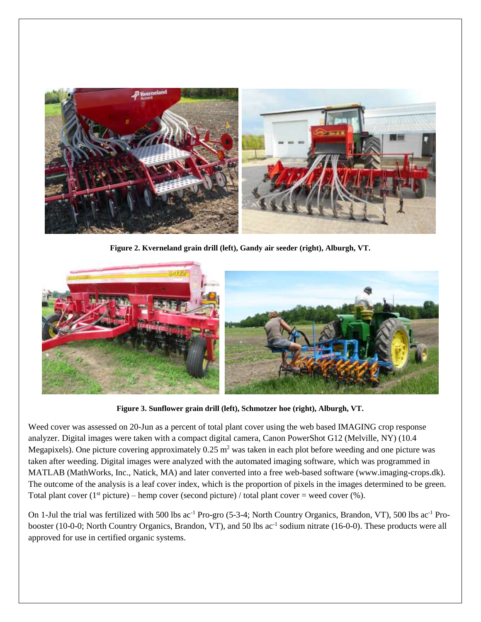

**Figure 2. Kverneland grain drill (left), Gandy air seeder (right), Alburgh, VT.**



**Figure 3. Sunflower grain drill (left), Schmotzer hoe (right), Alburgh, VT.**

Weed cover was assessed on 20-Jun as a percent of total plant cover using the web based IMAGING crop response analyzer. Digital images were taken with a compact digital camera, Canon PowerShot G12 (Melville, NY) (10.4 Megapixels). One picture covering approximately  $0.25 \text{ m}^2$  was taken in each plot before weeding and one picture was taken after weeding. Digital images were analyzed with the automated imaging software, which was programmed in MATLAB (MathWorks, Inc., Natick, MA) and later converted into a free web-based software (www.imaging-crops.dk). The outcome of the analysis is a leaf cover index, which is the proportion of pixels in the images determined to be green. Total plant cover (1<sup>st</sup> picture) – hemp cover (second picture) / total plant cover = weed cover (%).

On 1-Jul the trial was fertilized with 500 lbs ac-1 Pro-gro (5-3-4; North Country Organics, Brandon, VT), 500 lbs ac-1 Probooster (10-0-0; North Country Organics, Brandon, VT), and 50 lbs ac<sup>-1</sup> sodium nitrate (16-0-0). These products were all approved for use in certified organic systems.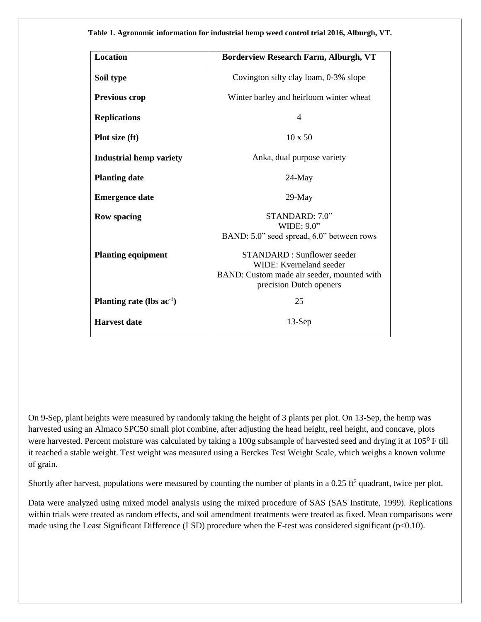**Table 1. Agronomic information for industrial hemp weed control trial 2016, Alburgh, VT.**

| <b>Location</b>                | <b>Borderview Research Farm, Alburgh, VT</b>                                                                                          |  |  |  |  |
|--------------------------------|---------------------------------------------------------------------------------------------------------------------------------------|--|--|--|--|
| Soil type                      | Covington silty clay loam, 0-3% slope                                                                                                 |  |  |  |  |
| <b>Previous crop</b>           | Winter barley and heirloom winter wheat                                                                                               |  |  |  |  |
| <b>Replications</b>            | 4                                                                                                                                     |  |  |  |  |
| Plot size (ft)                 | $10 \times 50$                                                                                                                        |  |  |  |  |
| <b>Industrial hemp variety</b> | Anka, dual purpose variety                                                                                                            |  |  |  |  |
| <b>Planting date</b>           | $24$ -May                                                                                                                             |  |  |  |  |
| <b>Emergence date</b>          | $29$ -May                                                                                                                             |  |  |  |  |
| <b>Row spacing</b>             | STANDARD: 7.0"<br>WIDE: 9.0"                                                                                                          |  |  |  |  |
|                                | BAND: 5.0" seed spread, 6.0" between rows                                                                                             |  |  |  |  |
| <b>Planting equipment</b>      | <b>STANDARD: Sunflower seeder</b><br>WIDE: Kverneland seeder<br>BAND: Custom made air seeder, mounted with<br>precision Dutch openers |  |  |  |  |
| Planting rate (lbs $ac^{-1}$ ) | 25                                                                                                                                    |  |  |  |  |
| <b>Harvest</b> date            | $13-Sep$                                                                                                                              |  |  |  |  |

On 9-Sep, plant heights were measured by randomly taking the height of 3 plants per plot. On 13-Sep, the hemp was harvested using an Almaco SPC50 small plot combine, after adjusting the head height, reel height, and concave, plots were harvested. Percent moisture was calculated by taking a 100g subsample of harvested seed and drying it at 105<sup>°</sup> F till it reached a stable weight. Test weight was measured using a Berckes Test Weight Scale, which weighs a known volume of grain.

Shortly after harvest, populations were measured by counting the number of plants in a  $0.25 \text{ ft}^2$  quadrant, twice per plot.

Data were analyzed using mixed model analysis using the mixed procedure of SAS (SAS Institute, 1999). Replications within trials were treated as random effects, and soil amendment treatments were treated as fixed. Mean comparisons were made using the Least Significant Difference (LSD) procedure when the F-test was considered significant ( $p<0.10$ ).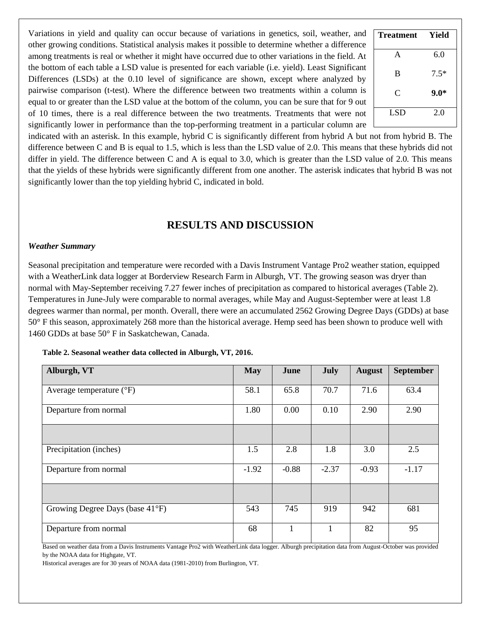Variations in yield and quality can occur because of variations in genetics, soil, weather, and other growing conditions. Statistical analysis makes it possible to determine whether a difference among treatments is real or whether it might have occurred due to other variations in the field. At the bottom of each table a LSD value is presented for each variable (i.e. yield). Least Significant Differences (LSDs) at the 0.10 level of significance are shown, except where analyzed by pairwise comparison (t-test). Where the difference between two treatments within a column is equal to or greater than the LSD value at the bottom of the column, you can be sure that for 9 out of 10 times, there is a real difference between the two treatments. Treatments that were not significantly lower in performance than the top-performing treatment in a particular column are

| <b>Treatment</b> | Yield  |
|------------------|--------|
| A                | 6.0    |
| B                | $7.5*$ |
| C                | $9.0*$ |
| LSD              | 2.0    |

indicated with an asterisk. In this example, hybrid C is significantly different from hybrid A but not from hybrid B. The difference between C and B is equal to 1.5, which is less than the LSD value of 2.0. This means that these hybrids did not differ in yield. The difference between C and A is equal to 3.0, which is greater than the LSD value of 2.0. This means that the yields of these hybrids were significantly different from one another. The asterisk indicates that hybrid B was not significantly lower than the top yielding hybrid C, indicated in bold.

## **RESULTS AND DISCUSSION**

### *Weather Summary*

Seasonal precipitation and temperature were recorded with a Davis Instrument Vantage Pro2 weather station, equipped with a WeatherLink data logger at Borderview Research Farm in Alburgh, VT. The growing season was dryer than normal with May-September receiving 7.27 fewer inches of precipitation as compared to historical averages (Table 2). Temperatures in June-July were comparable to normal averages, while May and August-September were at least 1.8 degrees warmer than normal, per month. Overall, there were an accumulated 2562 Growing Degree Days (GDDs) at base 50° F this season, approximately 268 more than the historical average. Hemp seed has been shown to produce well with 1460 GDDs at base 50° F in Saskatchewan, Canada.

| Alburgh, VT                       | <b>May</b> | June    | <b>July</b> | <b>August</b> | <b>September</b> |
|-----------------------------------|------------|---------|-------------|---------------|------------------|
| Average temperature $(^{\circ}F)$ | 58.1       | 65.8    | 70.7        | 71.6          | 63.4             |
| Departure from normal             | 1.80       | 0.00    | 0.10        | 2.90          | 2.90             |
|                                   |            |         |             |               |                  |
| Precipitation (inches)            | 1.5        | 2.8     | 1.8         | 3.0           | 2.5              |
| Departure from normal             | $-1.92$    | $-0.88$ | $-2.37$     | $-0.93$       | $-1.17$          |
|                                   |            |         |             |               |                  |
| Growing Degree Days (base 41°F)   | 543        | 745     | 919         | 942           | 681              |
| Departure from normal             | 68         |         |             | 82            | 95               |

**Table 2. Seasonal weather data collected in Alburgh, VT, 2016.**

Based on weather data from a Davis Instruments Vantage Pro2 with WeatherLink data logger. Alburgh precipitation data from August-October was provided by the NOAA data for Highgate, VT.

Historical averages are for 30 years of NOAA data (1981-2010) from Burlington, VT.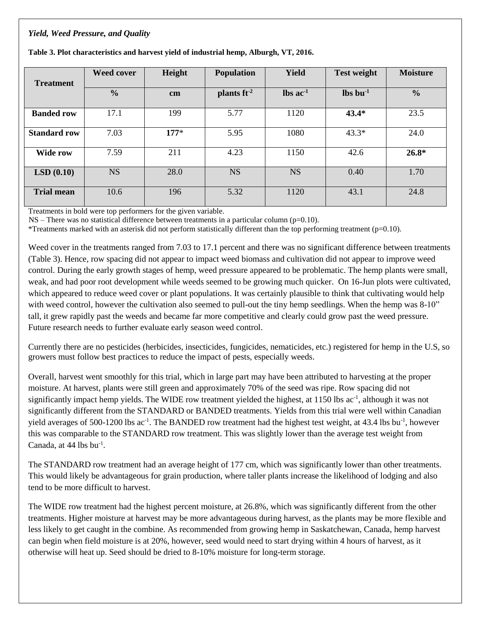## *Yield, Weed Pressure, and Quality*

| <b>Treatment</b>    | <b>Weed cover</b> | Height        | <b>Population</b>       | <b>Yield</b>                  | <b>Test weight</b>             | <b>Moisture</b> |
|---------------------|-------------------|---------------|-------------------------|-------------------------------|--------------------------------|-----------------|
|                     | $\frac{6}{6}$     | $\mathbf{cm}$ | plants ft <sup>-2</sup> | $\text{lbs}$ ac <sup>-1</sup> | $\mathbf{lbs}\mathbf{bu}^{-1}$ | $\frac{6}{6}$   |
| <b>Banded row</b>   | 17.1              | 199           | 5.77                    | 1120                          | $43.4*$                        | 23.5            |
| <b>Standard row</b> | 7.03              | $177*$        | 5.95                    | 1080                          | $43.3*$                        | 24.0            |
| <b>Wide row</b>     | 7.59              | 211           | 4.23                    | 1150                          | 42.6                           | $26.8*$         |
| LSD(0.10)           | <b>NS</b>         | 28.0          | <b>NS</b>               | <b>NS</b>                     | 0.40                           | 1.70            |
| <b>Trial mean</b>   | 10.6              | 196           | 5.32                    | 1120                          | 43.1                           | 24.8            |

**Table 3. Plot characteristics and harvest yield of industrial hemp, Alburgh, VT, 2016.** 

Treatments in bold were top performers for the given variable.

 $NS$  – There was no statistical difference between treatments in a particular column (p=0.10).

\*Treatments marked with an asterisk did not perform statistically different than the top performing treatment (p=0.10).

Weed cover in the treatments ranged from 7.03 to 17.1 percent and there was no significant difference between treatments (Table 3). Hence, row spacing did not appear to impact weed biomass and cultivation did not appear to improve weed control. During the early growth stages of hemp, weed pressure appeared to be problematic. The hemp plants were small, weak, and had poor root development while weeds seemed to be growing much quicker. On 16-Jun plots were cultivated, which appeared to reduce weed cover or plant populations. It was certainly plausible to think that cultivating would help with weed control, however the cultivation also seemed to pull-out the tiny hemp seedlings. When the hemp was 8-10" tall, it grew rapidly past the weeds and became far more competitive and clearly could grow past the weed pressure. Future research needs to further evaluate early season weed control.

Currently there are no pesticides (herbicides, insecticides, fungicides, nematicides, etc.) registered for hemp in the U.S, so growers must follow best practices to reduce the impact of pests, especially weeds.

Overall, harvest went smoothly for this trial, which in large part may have been attributed to harvesting at the proper moisture. At harvest, plants were still green and approximately 70% of the seed was ripe. Row spacing did not significantly impact hemp yields. The WIDE row treatment yielded the highest, at 1150 lbs ac<sup>-1</sup>, although it was not significantly different from the STANDARD or BANDED treatments. Yields from this trial were well within Canadian yield averages of 500-1200 lbs  $ac^{-1}$ . The BANDED row treatment had the highest test weight, at 43.4 lbs bu<sup>-1</sup>, however this was comparable to the STANDARD row treatment. This was slightly lower than the average test weight from Canada, at  $44$  lbs bu<sup>-1</sup>.

The STANDARD row treatment had an average height of 177 cm, which was significantly lower than other treatments. This would likely be advantageous for grain production, where taller plants increase the likelihood of lodging and also tend to be more difficult to harvest.

The WIDE row treatment had the highest percent moisture, at 26.8%, which was significantly different from the other treatments. Higher moisture at harvest may be more advantageous during harvest, as the plants may be more flexible and less likely to get caught in the combine. As recommended from growing hemp in Saskatchewan, Canada, hemp harvest can begin when field moisture is at 20%, however, seed would need to start drying within 4 hours of harvest, as it otherwise will heat up. Seed should be dried to 8-10% moisture for long-term storage.